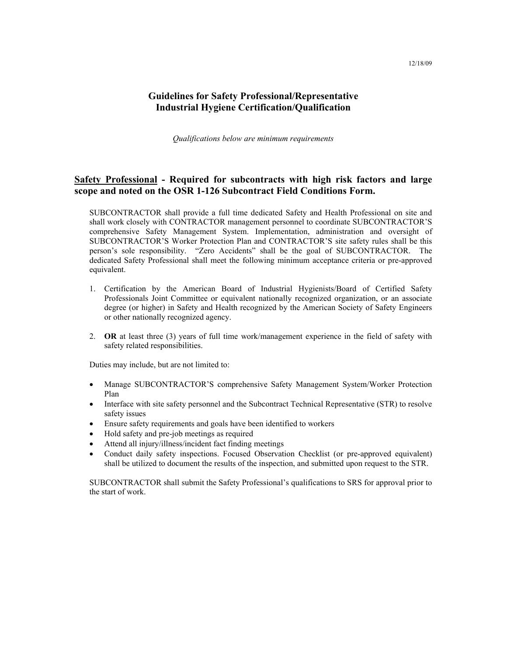## **Guidelines for Safety Professional/Representative Industrial Hygiene Certification/Qualification**

*Qualifications below are minimum requirements* 

### **Safety Professional - Required for subcontracts with high risk factors and large scope and noted on the OSR 1-126 Subcontract Field Conditions Form.**

SUBCONTRACTOR shall provide a full time dedicated Safety and Health Professional on site and shall work closely with CONTRACTOR management personnel to coordinate SUBCONTRACTOR'S comprehensive Safety Management System. Implementation, administration and oversight of SUBCONTRACTOR'S Worker Protection Plan and CONTRACTOR'S site safety rules shall be this person's sole responsibility. "Zero Accidents" shall be the goal of SUBCONTRACTOR. The dedicated Safety Professional shall meet the following minimum acceptance criteria or pre-approved equivalent.

- 1. Certification by the American Board of Industrial Hygienists/Board of Certified Safety Professionals Joint Committee or equivalent nationally recognized organization, or an associate degree (or higher) in Safety and Health recognized by the American Society of Safety Engineers or other nationally recognized agency.
- 2. **OR** at least three (3) years of full time work/management experience in the field of safety with safety related responsibilities.

Duties may include, but are not limited to:

- Manage SUBCONTRACTOR'S comprehensive Safety Management System/Worker Protection Plan
- Interface with site safety personnel and the Subcontract Technical Representative (STR) to resolve safety issues
- Ensure safety requirements and goals have been identified to workers
- Hold safety and pre-job meetings as required
- Attend all injury/illness/incident fact finding meetings
- Conduct daily safety inspections. Focused Observation Checklist (or pre-approved equivalent) shall be utilized to document the results of the inspection, and submitted upon request to the STR.

SUBCONTRACTOR shall submit the Safety Professional's qualifications to SRS for approval prior to the start of work.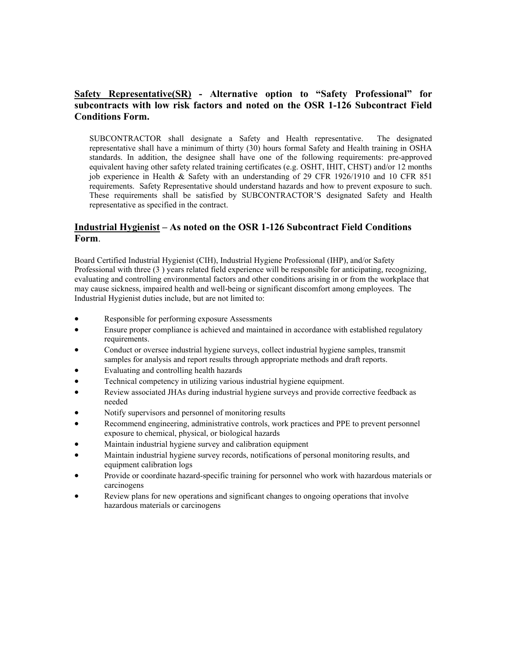### **Safety Representative(SR) - Alternative option to "Safety Professional" for subcontracts with low risk factors and noted on the OSR 1-126 Subcontract Field Conditions Form.**

SUBCONTRACTOR shall designate a Safety and Health representative. The designated representative shall have a minimum of thirty (30) hours formal Safety and Health training in OSHA standards. In addition, the designee shall have one of the following requirements: pre-approved equivalent having other safety related training certificates (e.g. OSHT, IHIT, CHST) and/or 12 months job experience in Health & Safety with an understanding of 29 CFR 1926/1910 and 10 CFR 851 requirements. Safety Representative should understand hazards and how to prevent exposure to such. These requirements shall be satisfied by SUBCONTRACTOR'S designated Safety and Health representative as specified in the contract.

#### **Industrial Hygienist – As noted on the OSR 1-126 Subcontract Field Conditions Form**.

Board Certified Industrial Hygienist (CIH), Industrial Hygiene Professional (IHP), and/or Safety Professional with three (3 ) years related field experience will be responsible for anticipating, recognizing, evaluating and controlling environmental factors and other conditions arising in or from the workplace that may cause sickness, impaired health and well-being or significant discomfort among employees. The Industrial Hygienist duties include, but are not limited to:

- Responsible for performing exposure Assessments
- Ensure proper compliance is achieved and maintained in accordance with established regulatory requirements.
- Conduct or oversee industrial hygiene surveys, collect industrial hygiene samples, transmit samples for analysis and report results through appropriate methods and draft reports.
- Evaluating and controlling health hazards
- Technical competency in utilizing various industrial hygiene equipment.
- Review associated JHAs during industrial hygiene surveys and provide corrective feedback as needed
- Notify supervisors and personnel of monitoring results
- Recommend engineering, administrative controls, work practices and PPE to prevent personnel exposure to chemical, physical, or biological hazards
- Maintain industrial hygiene survey and calibration equipment
- Maintain industrial hygiene survey records, notifications of personal monitoring results, and equipment calibration logs
- Provide or coordinate hazard-specific training for personnel who work with hazardous materials or carcinogens
- Review plans for new operations and significant changes to ongoing operations that involve hazardous materials or carcinogens